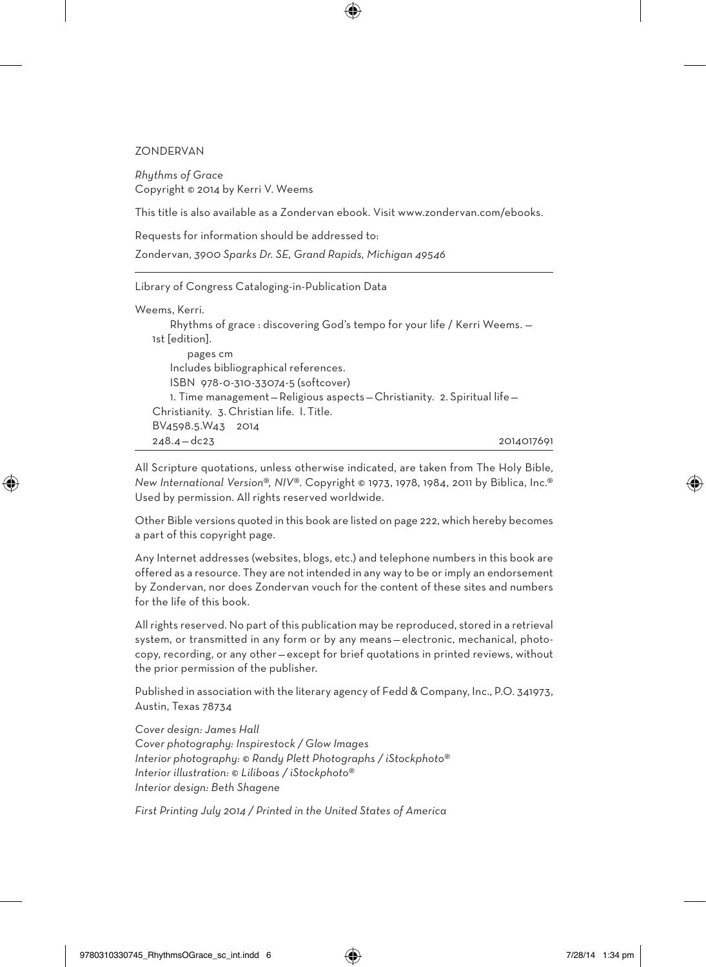#### ZONDERVAN

*Rhythms of Grace* Copyright © 2014 by Kerri V. Weems

This title is also available as a Zondervan ebook. Visit www.zondervan.com/ebooks.

Requests for information should be addressed to:

Zondervan, *3900 Sparks Dr. SE, Grand Rapids, Michigan 49546*

Library of Congress Cataloging-in-Publication Data

| Weems, Kerri.                                                                               |            |
|---------------------------------------------------------------------------------------------|------------|
| Rhythms of grace : discovering God's tempo for your life / Kerri Weems. -<br>1st [edition]. |            |
| pages cm                                                                                    |            |
| Includes bibliographical references.                                                        |            |
| ISBN 978-0-310-33074-5 (softcover)                                                          |            |
| 1. Time management - Religious aspects - Christianity. 2. Spiritual life -                  |            |
| Christianity. 3. Christian life. I. Title.                                                  |            |
| BV4598.5.W43 2014                                                                           |            |
| $248.4 - dc23$                                                                              | 2014017691 |

All Scripture quotations, unless otherwise indicated, are taken from The Holy Bible, *New International Version*®*, NIV*®. Copyright © 1973, 1978, 1984, 2011 by Biblica, Inc.® Used by permission. All rights reserved worldwide.

Other Bible versions quoted in this book are listed on page 222, which hereby becomes a part of this copyright page.

Any Internet addresses (websites, blogs, etc.) and telephone numbers in this book are offered as a resource. They are not intended in any way to be or imply an endorsement by Zondervan, nor does Zondervan vouch for the content of these sites and numbers for the life of this book.

All rights reserved. No part of this publication may be reproduced, stored in a retrieval system, or transmitted in any form or by any means— electronic, mechanical, photocopy, recording, or any other— except for brief quotations in printed reviews, without the prior permission of the publisher.

Published in association with the literary agency of Fedd & Company, Inc., P.O. 341973, Austin, Texas 78734

*Cover design: James Hall Cover photography: Inspirestock / Glow Images Interior photography: © Randy Plett Photographs / iStockphoto® Interior illustration: © Liliboas / iStockphoto® Interior design: Beth Shagene*

*First Printing July 2014 / Printed in the United States of America*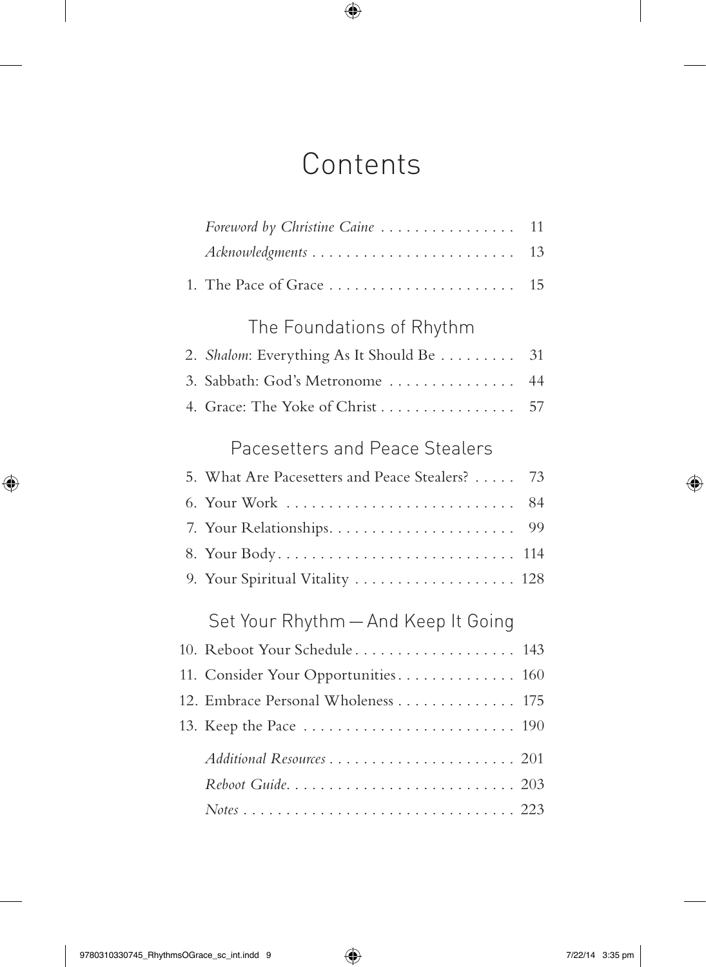## Contents

| Foreword by Christine Caine                                                                     | 11  |
|-------------------------------------------------------------------------------------------------|-----|
|                                                                                                 | 13  |
| 1. The Pace of Grace                                                                            | 15  |
| The Foundations of Rhythm                                                                       |     |
| 2. Shalom: Everything As It Should Be                                                           | 31  |
| 3. Sabbath: God's Metronome                                                                     | 44  |
| 4. Grace: The Yoke of Christ                                                                    | 57  |
| Pacesetters and Peace Stealers                                                                  |     |
| 5. What Are Pacesetters and Peace Stealers?                                                     | 73  |
|                                                                                                 | 84  |
|                                                                                                 | 99  |
| 8. Your Body                                                                                    | 114 |
|                                                                                                 | 128 |
| Set Your Rhythm — And Keep It Going                                                             |     |
| 10. Reboot Your Schedule                                                                        | 143 |
| 11. Consider Your Opportunities                                                                 | 160 |
| 12. Embrace Personal Wholeness                                                                  | 175 |
| 13. Keep the Pace                                                                               | 190 |
|                                                                                                 |     |
|                                                                                                 |     |
| $Notes \ldots \ldots \ldots \ldots \ldots \ldots \ldots \ldots \ldots \ldots \ldots \ldots 223$ |     |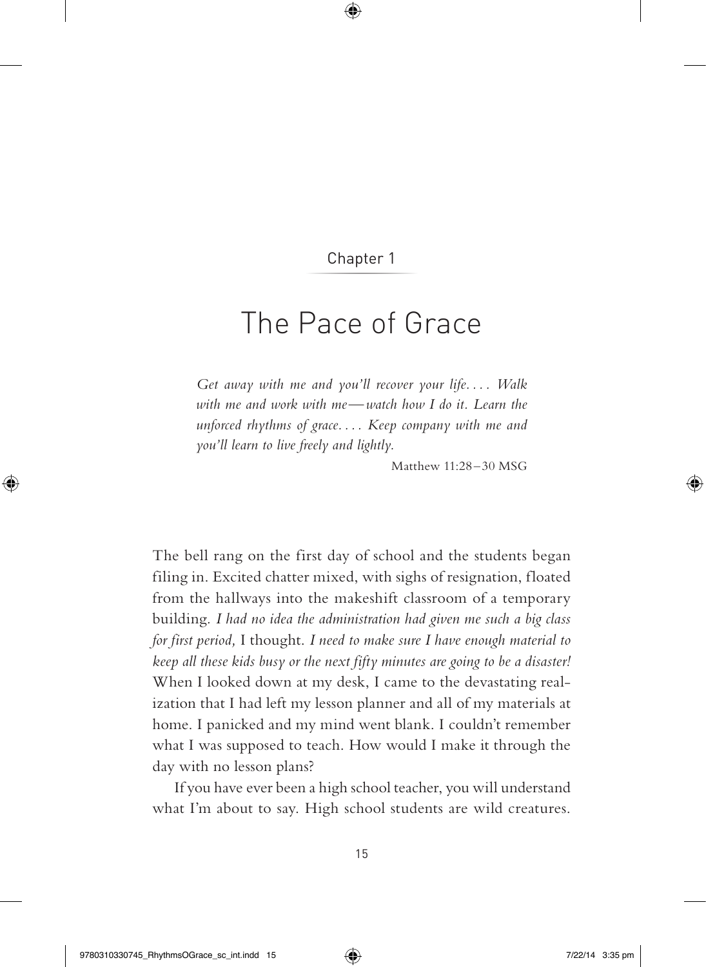Chapter 1

## The Pace of Grace

*Get away with me and you'll recover your life. . . . Walk with me and work with me — watch how I do it. Learn the unforced rhythms of grace. . . . Keep company with me and you'll learn to live freely and lightly.*

Matthew 11:28 – 30 MSG

The bell rang on the first day of school and the students began filing in. Excited chatter mixed, with sighs of resignation, floated from the hallways into the makeshift classroom of a temporary building*. I had no idea the administration had given me such a big class for first period,* I thought. *I need to make sure I have enough material to keep all these kids busy or the next fifty minutes are going to be a disaster!* When I looked down at my desk, I came to the devastating realization that I had left my lesson planner and all of my materials at home. I panicked and my mind went blank. I couldn't remember what I was supposed to teach. How would I make it through the day with no lesson plans?

If you have ever been a high school teacher, you will understand what I'm about to say. High school students are wild creatures.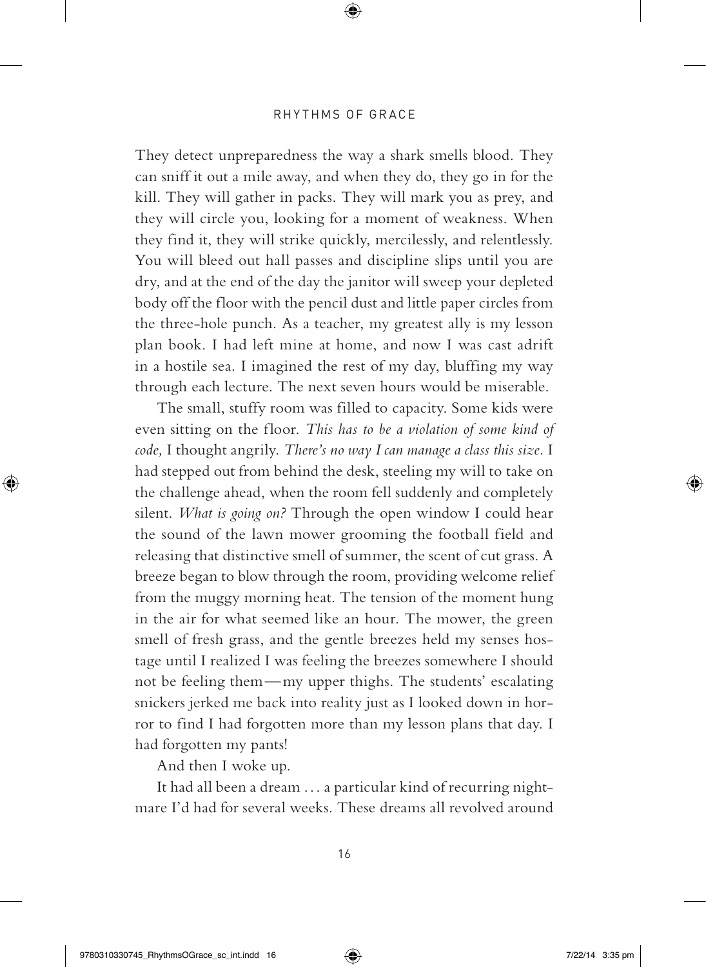They detect unpreparedness the way a shark smells blood. They can sniff it out a mile away, and when they do, they go in for the kill. They will gather in packs. They will mark you as prey, and they will circle you, looking for a moment of weakness. When they find it, they will strike quickly, mercilessly, and relentlessly. You will bleed out hall passes and discipline slips until you are dry, and at the end of the day the janitor will sweep your depleted body off the floor with the pencil dust and little paper circles from the three-hole punch. As a teacher, my greatest ally is my lesson plan book. I had left mine at home, and now I was cast adrift in a hostile sea. I imagined the rest of my day, bluffing my way through each lecture. The next seven hours would be miserable.

The small, stuffy room was filled to capacity. Some kids were even sitting on the floor. *This has to be a violation of some kind of code,* I thought angrily. *There's no way I can manage a class this size.* I had stepped out from behind the desk, steeling my will to take on the challenge ahead, when the room fell suddenly and completely silent. *What is going on?* Through the open window I could hear the sound of the lawn mower grooming the football field and releasing that distinctive smell of summer, the scent of cut grass. A breeze began to blow through the room, providing welcome relief from the muggy morning heat. The tension of the moment hung in the air for what seemed like an hour. The mower, the green smell of fresh grass, and the gentle breezes held my senses hostage until I realized I was feeling the breezes somewhere I should not be feeling them — my upper thighs. The students' escalating snickers jerked me back into reality just as I looked down in horror to find I had forgotten more than my lesson plans that day. I had forgotten my pants!

And then I woke up.

It had all been a dream . . . a particular kind of recurring nightmare I'd had for several weeks. These dreams all revolved around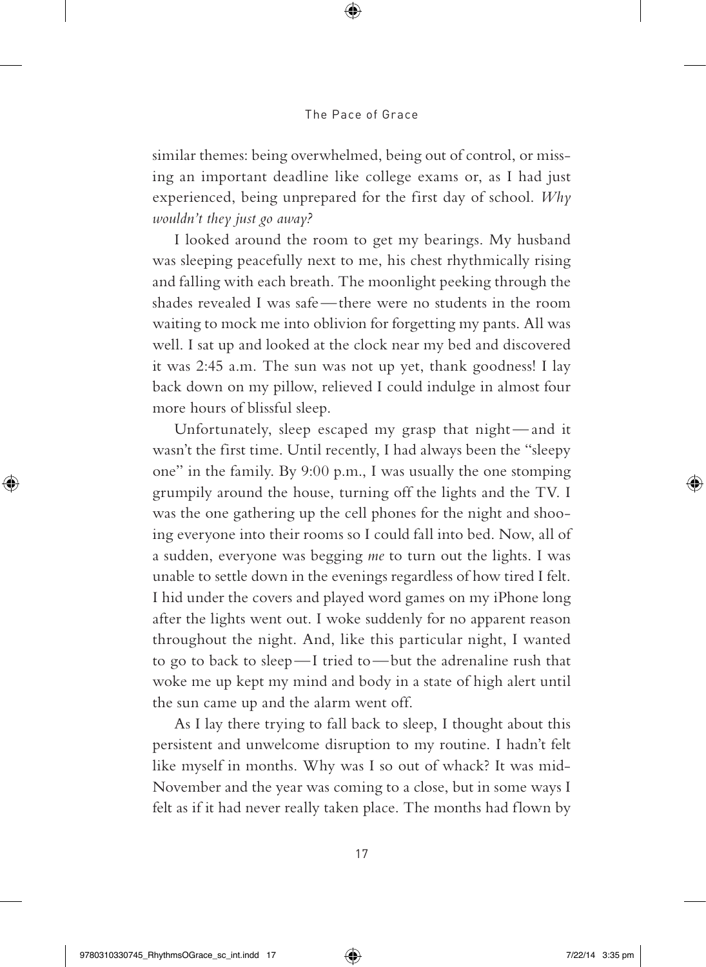similar themes: being overwhelmed, being out of control, or missing an important deadline like college exams or, as I had just experienced, being unprepared for the first day of school. *Why wouldn't they just go away?*

I looked around the room to get my bearings. My husband was sleeping peacefully next to me, his chest rhythmically rising and falling with each breath. The moonlight peeking through the shades revealed I was safe — there were no students in the room waiting to mock me into oblivion for forgetting my pants. All was well. I sat up and looked at the clock near my bed and discovered it was 2:45 a.m. The sun was not up yet, thank goodness! I lay back down on my pillow, relieved I could indulge in almost four more hours of blissful sleep.

Unfortunately, sleep escaped my grasp that night — and it wasn't the first time. Until recently, I had always been the "sleepy one" in the family. By 9:00 p.m., I was usually the one stomping grumpily around the house, turning off the lights and the TV. I was the one gathering up the cell phones for the night and shooing everyone into their rooms so I could fall into bed. Now, all of a sudden, everyone was begging *me* to turn out the lights. I was unable to settle down in the evenings regardless of how tired I felt. I hid under the covers and played word games on my iPhone long after the lights went out. I woke suddenly for no apparent reason throughout the night. And, like this particular night, I wanted to go to back to sleep — I tried to — but the adrenaline rush that woke me up kept my mind and body in a state of high alert until the sun came up and the alarm went off.

As I lay there trying to fall back to sleep, I thought about this persistent and unwelcome disruption to my routine. I hadn't felt like myself in months. Why was I so out of whack? It was mid-November and the year was coming to a close, but in some ways I felt as if it had never really taken place. The months had flown by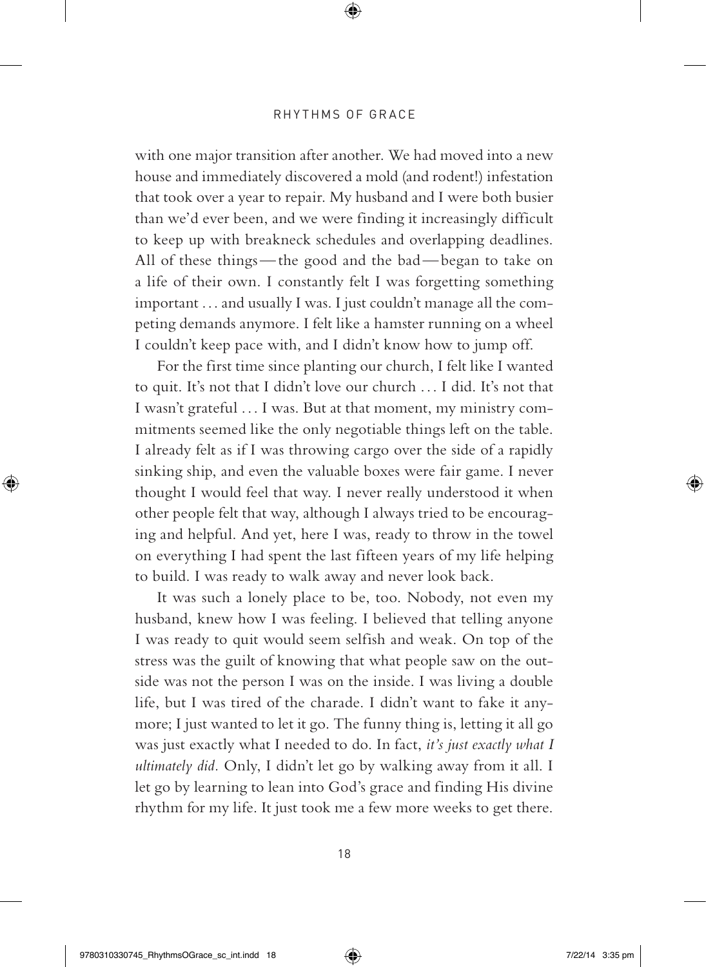with one major transition after another. We had moved into a new house and immediately discovered a mold (and rodent!) infestation that took over a year to repair. My husband and I were both busier than we'd ever been, and we were finding it increasingly difficult to keep up with breakneck schedules and overlapping deadlines. All of these things—the good and the bad—began to take on a life of their own. I constantly felt I was forgetting something important . . . and usually I was. I just couldn't manage all the competing demands anymore. I felt like a hamster running on a wheel I couldn't keep pace with, and I didn't know how to jump off.

For the first time since planting our church, I felt like I wanted to quit. It's not that I didn't love our church . . . I did. It's not that I wasn't grateful . . . I was. But at that moment, my ministry commitments seemed like the only negotiable things left on the table. I already felt as if I was throwing cargo over the side of a rapidly sinking ship, and even the valuable boxes were fair game. I never thought I would feel that way. I never really understood it when other people felt that way, although I always tried to be encouraging and helpful. And yet, here I was, ready to throw in the towel on everything I had spent the last fifteen years of my life helping to build. I was ready to walk away and never look back.

It was such a lonely place to be, too. Nobody, not even my husband, knew how I was feeling. I believed that telling anyone I was ready to quit would seem selfish and weak. On top of the stress was the guilt of knowing that what people saw on the outside was not the person I was on the inside. I was living a double life, but I was tired of the charade. I didn't want to fake it anymore; I just wanted to let it go. The funny thing is, letting it all go was just exactly what I needed to do. In fact, *it's just exactly what I ultimately did.* Only, I didn't let go by walking away from it all. I let go by learning to lean into God's grace and finding His divine rhythm for my life. It just took me a few more weeks to get there.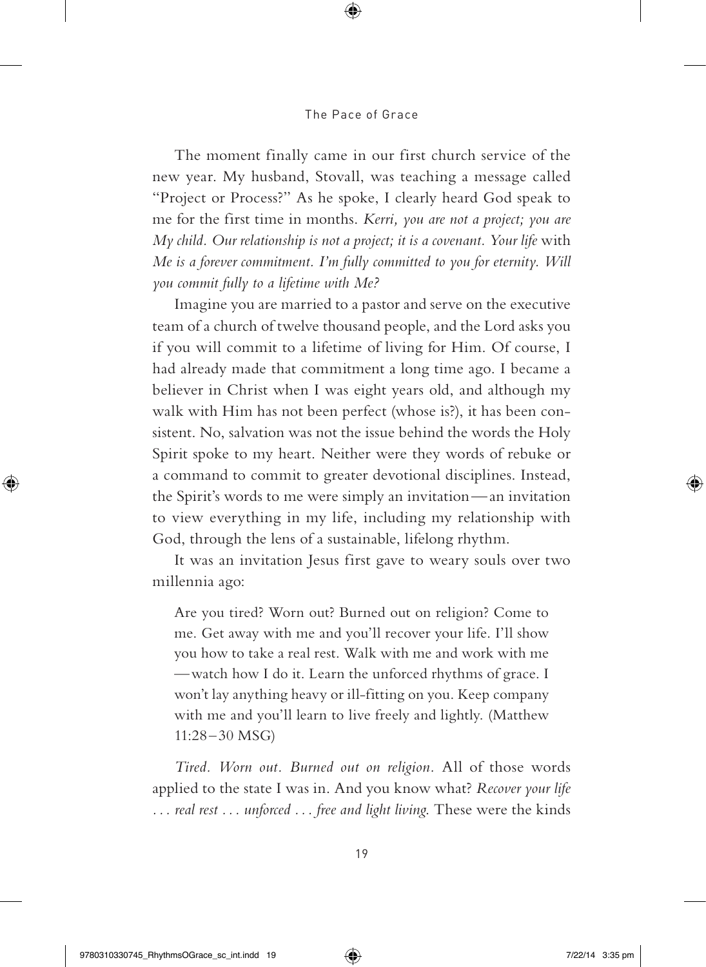The moment finally came in our first church service of the new year. My husband, Stovall, was teaching a message called "Project or Process?" As he spoke, I clearly heard God speak to me for the first time in months. *Kerri, you are not a project; you are My child. Our relationship is not a project; it is a covenant. Your life* with *Me is a forever commitment. I'm fully committed to you for eternity. Will you commit fully to a lifetime with Me?*

Imagine you are married to a pastor and serve on the executive team of a church of twelve thousand people, and the Lord asks you if you will commit to a lifetime of living for Him. Of course, I had already made that commitment a long time ago. I became a believer in Christ when I was eight years old, and although my walk with Him has not been perfect (whose is?), it has been consistent. No, salvation was not the issue behind the words the Holy Spirit spoke to my heart. Neither were they words of rebuke or a command to commit to greater devotional disciplines. Instead, the Spirit's words to me were simply an invitation — an invitation to view everything in my life, including my relationship with God, through the lens of a sustainable, lifelong rhythm.

It was an invitation Jesus first gave to weary souls over two millennia ago:

Are you tired? Worn out? Burned out on religion? Come to me. Get away with me and you'll recover your life. I'll show you how to take a real rest. Walk with me and work with me — watch how I do it. Learn the unforced rhythms of grace. I won't lay anything heavy or ill-fitting on you. Keep company with me and you'll learn to live freely and lightly. (Matthew 11:28 – 30 MSG)

*Tired. Worn out. Burned out on religion.* All of those words applied to the state I was in. And you know what? *Recover your life . . . real rest . . . unforced . . . free and light living*. These were the kinds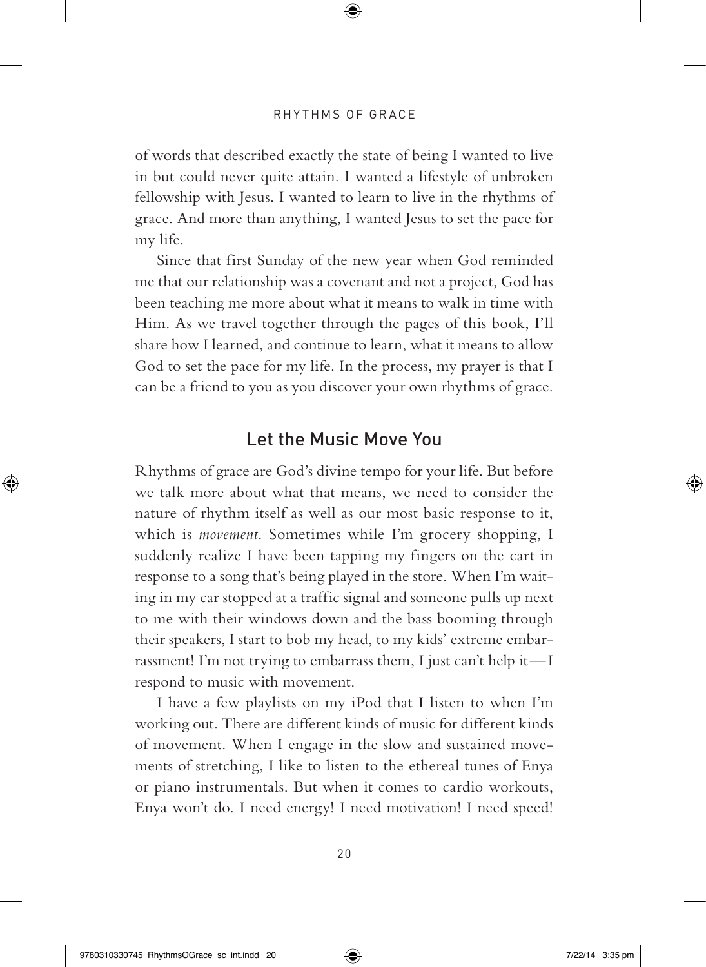of words that described exactly the state of being I wanted to live in but could never quite attain. I wanted a lifestyle of unbroken fellowship with Jesus. I wanted to learn to live in the rhythms of grace. And more than anything, I wanted Jesus to set the pace for my life.

Since that first Sunday of the new year when God reminded me that our relationship was a covenant and not a project, God has been teaching me more about what it means to walk in time with Him. As we travel together through the pages of this book, I'll share how I learned, and continue to learn, what it means to allow God to set the pace for my life. In the process, my prayer is that I can be a friend to you as you discover your own rhythms of grace.

### Let the Music Move You

Rhythms of grace are God's divine tempo for your life. But before we talk more about what that means, we need to consider the nature of rhythm itself as well as our most basic response to it, which is *movement*. Sometimes while I'm grocery shopping, I suddenly realize I have been tapping my fingers on the cart in response to a song that's being played in the store. When I'm waiting in my car stopped at a traffic signal and someone pulls up next to me with their windows down and the bass booming through their speakers, I start to bob my head, to my kids' extreme embarrassment! I'm not trying to embarrass them, I just can't help it — I respond to music with movement.

I have a few playlists on my iPod that I listen to when I'm working out. There are different kinds of music for different kinds of movement. When I engage in the slow and sustained movements of stretching, I like to listen to the ethereal tunes of Enya or piano instrumentals. But when it comes to cardio workouts, Enya won't do. I need energy! I need motivation! I need speed!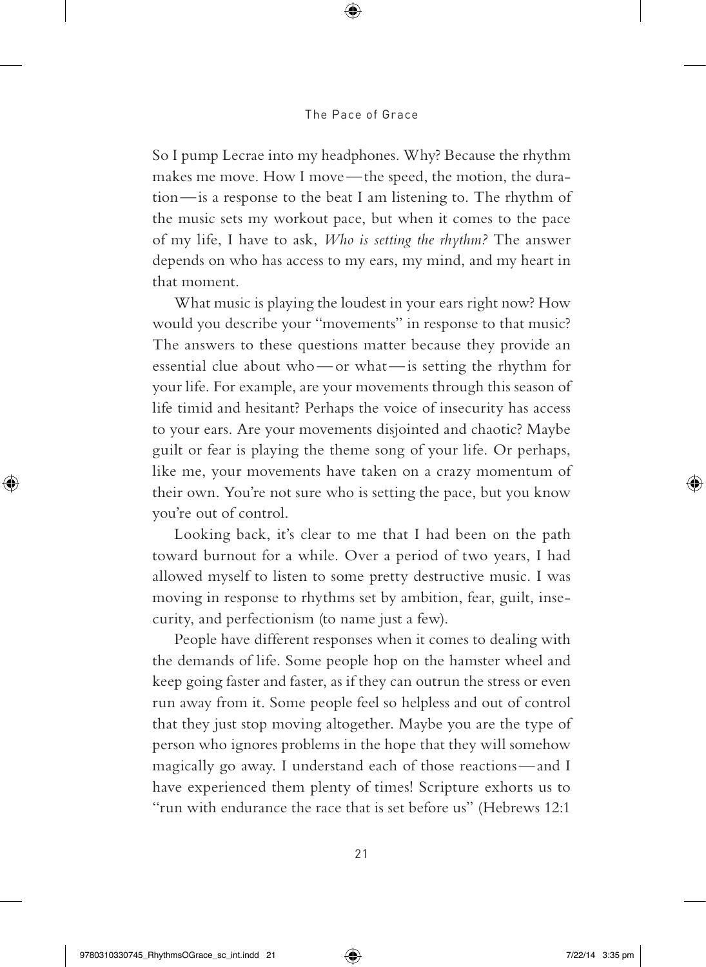So I pump Lecrae into my headphones. Why? Because the rhythm makes me move. How I move — the speed, the motion, the duration — is a response to the beat I am listening to. The rhythm of the music sets my workout pace, but when it comes to the pace of my life, I have to ask, *Who is setting the rhythm?* The answer depends on who has access to my ears, my mind, and my heart in that moment.

What music is playing the loudest in your ears right now? How would you describe your "movements" in response to that music? The answers to these questions matter because they provide an essential clue about who — or what — is setting the rhythm for your life. For example, are your movements through this season of life timid and hesitant? Perhaps the voice of insecurity has access to your ears. Are your movements disjointed and chaotic? Maybe guilt or fear is playing the theme song of your life. Or perhaps, like me, your movements have taken on a crazy momentum of their own. You're not sure who is setting the pace, but you know you're out of control.

Looking back, it's clear to me that I had been on the path toward burnout for a while. Over a period of two years, I had allowed myself to listen to some pretty destructive music. I was moving in response to rhythms set by ambition, fear, guilt, insecurity, and perfectionism (to name just a few).

 People have different responses when it comes to dealing with the demands of life. Some people hop on the hamster wheel and keep going faster and faster, as if they can outrun the stress or even run away from it. Some people feel so helpless and out of control that they just stop moving altogether. Maybe you are the type of person who ignores problems in the hope that they will somehow magically go away. I understand each of those reactions — and I have experienced them plenty of times! Scripture exhorts us to "run with endurance the race that is set before us" (Hebrews 12:1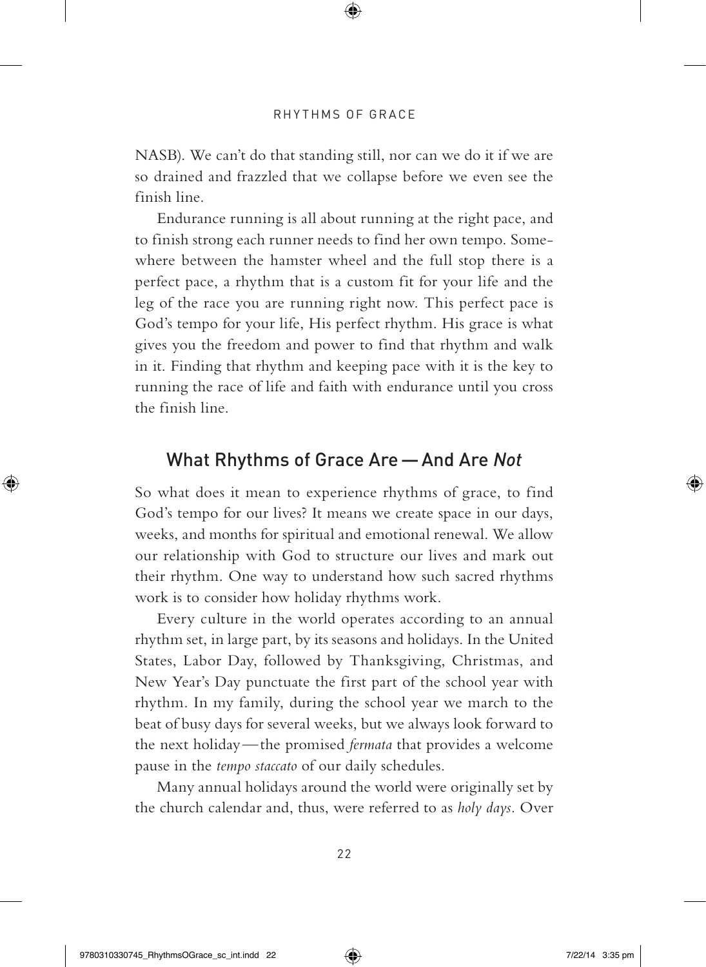NASB). We can't do that standing still, nor can we do it if we are so drained and frazzled that we collapse before we even see the finish line.

Endurance running is all about running at the right pace, and to finish strong each runner needs to find her own tempo. Somewhere between the hamster wheel and the full stop there is a perfect pace, a rhythm that is a custom fit for your life and the leg of the race you are running right now. This perfect pace is God's tempo for your life, His perfect rhythm. His grace is what gives you the freedom and power to find that rhythm and walk in it. Finding that rhythm and keeping pace with it is the key to running the race of life and faith with endurance until you cross the finish line.

### What Rhythms of Grace Are — And Are *Not*

So what does it mean to experience rhythms of grace, to find God's tempo for our lives? It means we create space in our days, weeks, and months for spiritual and emotional renewal. We allow our relationship with God to structure our lives and mark out their rhythm. One way to understand how such sacred rhythms work is to consider how holiday rhythms work.

Every culture in the world operates according to an annual rhythm set, in large part, by its seasons and holidays. In the United States, Labor Day, followed by Thanksgiving, Christmas, and New Year's Day punctuate the first part of the school year with rhythm. In my family, during the school year we march to the beat of busy days for several weeks, but we always look forward to the next holiday — the promised *fermata* that provides a welcome pause in the *tempo staccato* of our daily schedules.

Many annual holidays around the world were originally set by the church calendar and, thus, were referred to as *holy days.* Over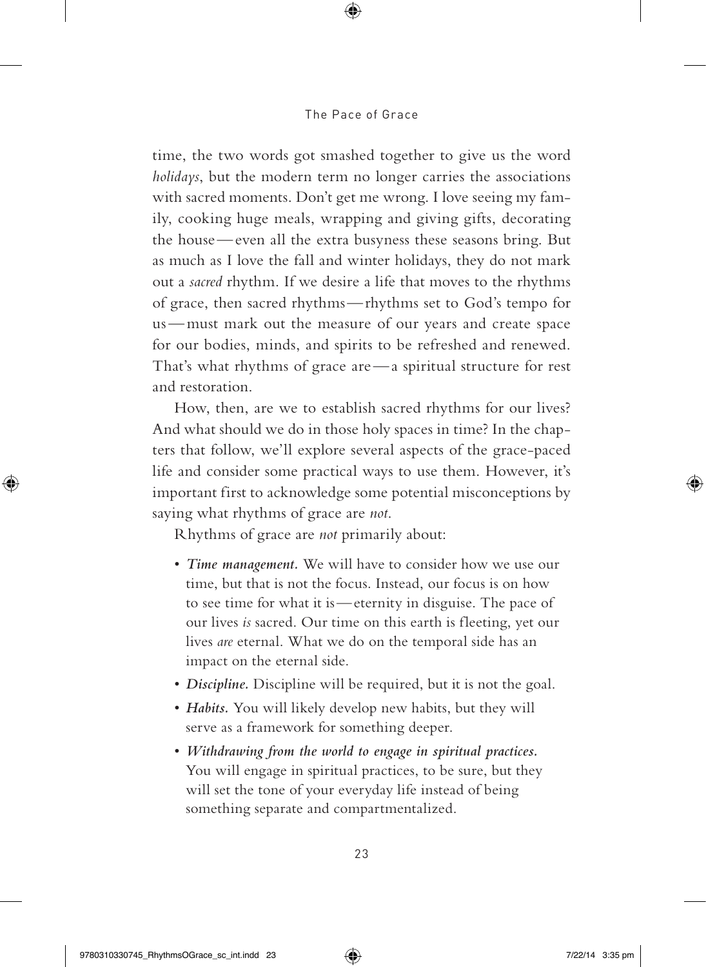time, the two words got smashed together to give us the word *holidays*, but the modern term no longer carries the associations with sacred moments. Don't get me wrong. I love seeing my family, cooking huge meals, wrapping and giving gifts, decorating the house — even all the extra busyness these seasons bring. But as much as I love the fall and winter holidays, they do not mark out a *sacred* rhythm. If we desire a life that moves to the rhythms of grace, then sacred rhythms — rhythms set to God's tempo for us — must mark out the measure of our years and create space for our bodies, minds, and spirits to be refreshed and renewed. That's what rhythms of grace are — a spiritual structure for rest and restoration.

How, then, are we to establish sacred rhythms for our lives? And what should we do in those holy spaces in time? In the chapters that follow, we'll explore several aspects of the grace-paced life and consider some practical ways to use them. However, it's important first to acknowledge some potential misconceptions by saying what rhythms of grace are *not*.

Rhythms of grace are *not* primarily about:

- *Time management.* We will have to consider how we use our time, but that is not the focus. Instead, our focus is on how to see time for what it is — eternity in disguise. The pace of our lives *is* sacred. Our time on this earth is fleeting, yet our lives *are* eternal. What we do on the temporal side has an impact on the eternal side.
- *Discipline.* Discipline will be required, but it is not the goal.
- *Habits.* You will likely develop new habits, but they will serve as a framework for something deeper.
- *Withdrawing from the world to engage in spiritual practices.* You will engage in spiritual practices, to be sure, but they will set the tone of your everyday life instead of being something separate and compartmentalized.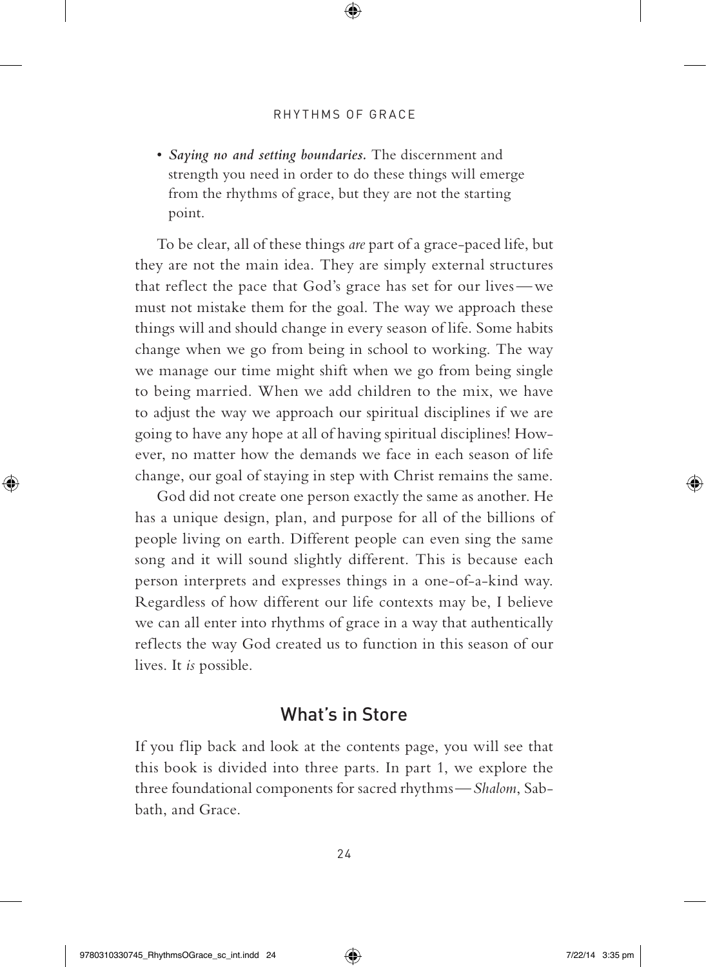• *Saying no and setting boundaries.* The discernment and strength you need in order to do these things will emerge from the rhythms of grace, but they are not the starting point.

To be clear, all of these things *are* part of a grace-paced life, but they are not the main idea. They are simply external structures that reflect the pace that God's grace has set for our lives — we must not mistake them for the goal. The way we approach these things will and should change in every season of life. Some habits change when we go from being in school to working. The way we manage our time might shift when we go from being single to being married. When we add children to the mix, we have to adjust the way we approach our spiritual disciplines if we are going to have any hope at all of having spiritual disciplines! However, no matter how the demands we face in each season of life change, our goal of staying in step with Christ remains the same.

God did not create one person exactly the same as another. He has a unique design, plan, and purpose for all of the billions of people living on earth. Different people can even sing the same song and it will sound slightly different. This is because each person interprets and expresses things in a one-of-a-kind way. Regardless of how different our life contexts may be, I believe we can all enter into rhythms of grace in a way that authentically reflects the way God created us to function in this season of our lives. It *is* possible.

### What's in Store

If you flip back and look at the contents page, you will see that this book is divided into three parts. In part 1, we explore the three foundational components for sacred rhythms — *Shalom*, Sabbath, and Grace.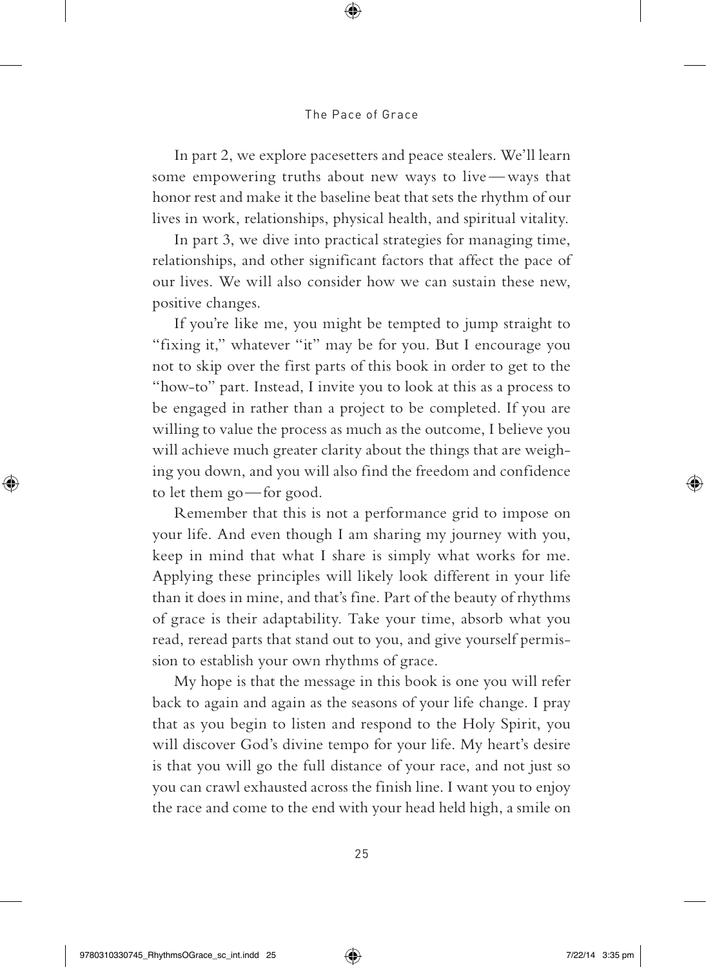In part 2, we explore pacesetters and peace stealers. We'll learn some empowering truths about new ways to live — ways that honor rest and make it the baseline beat that sets the rhythm of our lives in work, relationships, physical health, and spiritual vitality.

In part 3, we dive into practical strategies for managing time, relationships, and other significant factors that affect the pace of our lives. We will also consider how we can sustain these new, positive changes.

If you're like me, you might be tempted to jump straight to "fixing it," whatever "it" may be for you. But I encourage you not to skip over the first parts of this book in order to get to the "how-to" part. Instead, I invite you to look at this as a process to be engaged in rather than a project to be completed. If you are willing to value the process as much as the outcome, I believe you will achieve much greater clarity about the things that are weighing you down, and you will also find the freedom and confidence to let them go—for good.

Remember that this is not a performance grid to impose on your life. And even though I am sharing my journey with you, keep in mind that what I share is simply what works for me. Applying these principles will likely look different in your life than it does in mine, and that's fine. Part of the beauty of rhythms of grace is their adaptability. Take your time, absorb what you read, reread parts that stand out to you, and give yourself permission to establish your own rhythms of grace.

My hope is that the message in this book is one you will refer back to again and again as the seasons of your life change. I pray that as you begin to listen and respond to the Holy Spirit, you will discover God's divine tempo for your life. My heart's desire is that you will go the full distance of your race, and not just so you can crawl exhausted across the finish line. I want you to enjoy the race and come to the end with your head held high, a smile on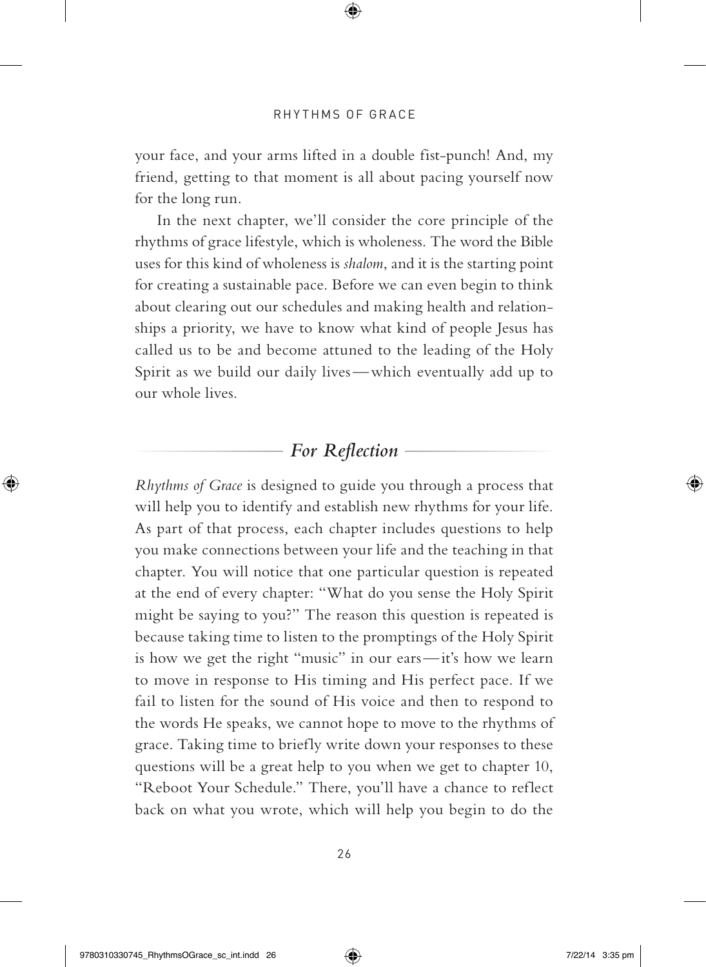your face, and your arms lifted in a double fist-punch! And, my friend, getting to that moment is all about pacing yourself now for the long run.

In the next chapter, we'll consider the core principle of the rhythms of grace lifestyle, which is wholeness. The word the Bible uses for this kind of wholeness is *shalom*, and it is the starting point for creating a sustainable pace. Before we can even begin to think about clearing out our schedules and making health and relationships a priority, we have to know what kind of people Jesus has called us to be and become attuned to the leading of the Holy Spirit as we build our daily lives — which eventually add up to our whole lives.

### *For Reflection*

*Rhythms of Grace* is designed to guide you through a process that will help you to identify and establish new rhythms for your life. As part of that process, each chapter includes questions to help you make connections between your life and the teaching in that chapter. You will notice that one particular question is repeated at the end of every chapter: "What do you sense the Holy Spirit might be saying to you?" The reason this question is repeated is because taking time to listen to the promptings of the Holy Spirit is how we get the right "music" in our ears — it's how we learn to move in response to His timing and His perfect pace. If we fail to listen for the sound of His voice and then to respond to the words He speaks, we cannot hope to move to the rhythms of grace. Taking time to briefly write down your responses to these questions will be a great help to you when we get to chapter 10, "Reboot Your Schedule." There, you'll have a chance to reflect back on what you wrote, which will help you begin to do the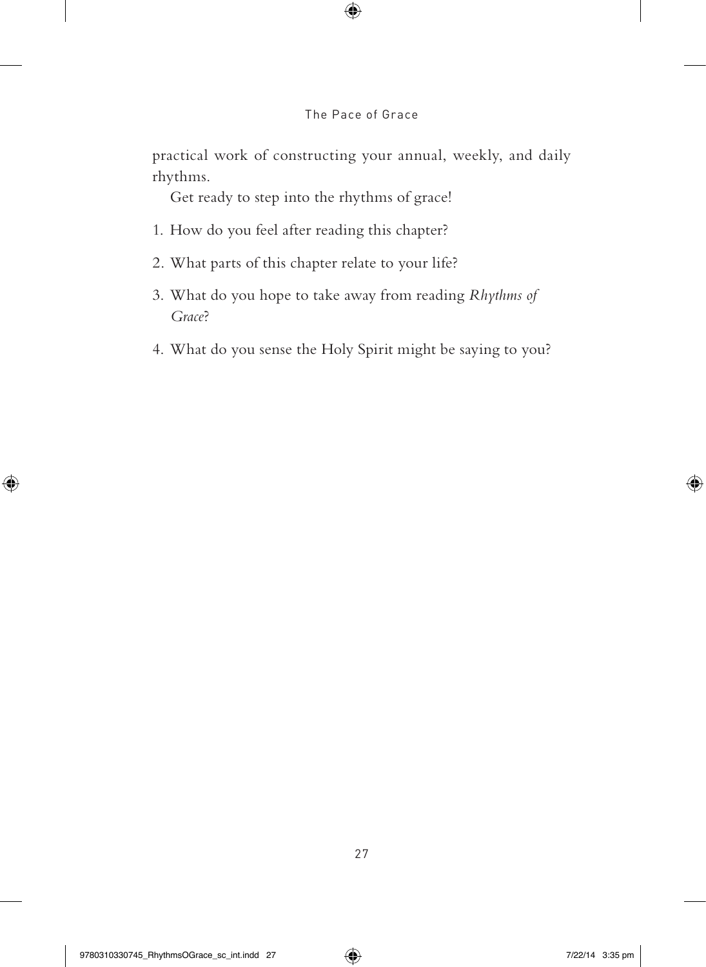practical work of constructing your annual, weekly, and daily rhythms.

Get ready to step into the rhythms of grace!

- 1. How do you feel after reading this chapter?
- 2. What parts of this chapter relate to your life?
- 3. What do you hope to take away from reading *Rhythms of Grace*?
- 4. What do you sense the Holy Spirit might be saying to you?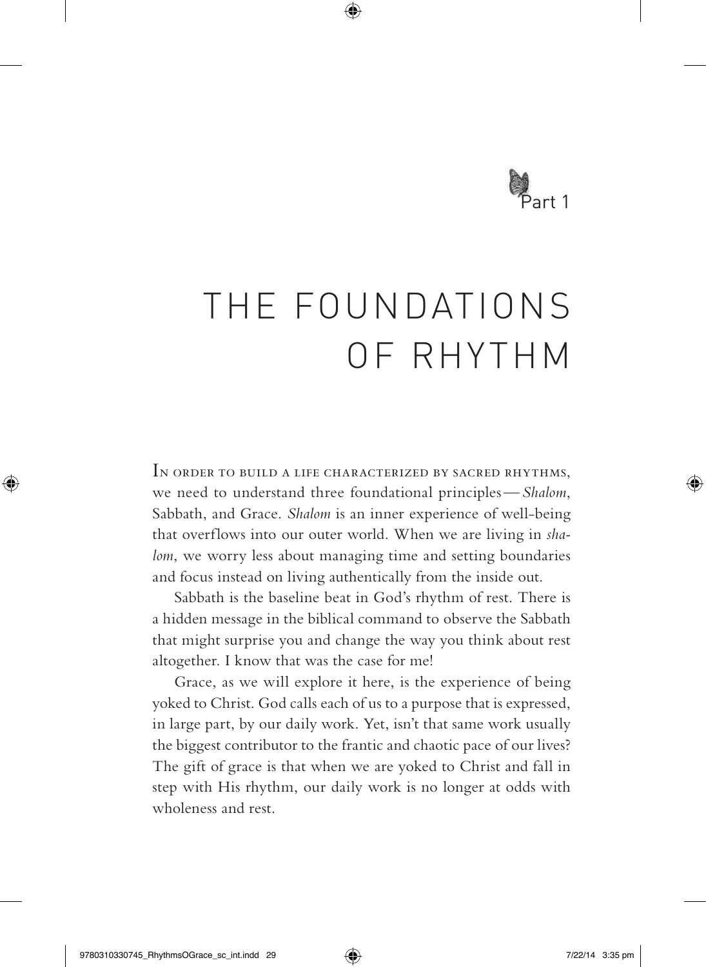Part 1

# THE FOUNDATIONS OF RHYTHM

IN ORDER TO BUILD A LIFE CHARACTERIZED BY SACRED RHYTHMS, we need to understand three foundational principles — *Shalom*, Sabbath, and Grace. *Shalom* is an inner experience of well-being that overflows into our outer world. When we are living in *shalom*, we worry less about managing time and setting boundaries and focus instead on living authentically from the inside out.

Sabbath is the baseline beat in God's rhythm of rest. There is a hidden message in the biblical command to observe the Sabbath that might surprise you and change the way you think about rest altogether. I know that was the case for me!

Grace, as we will explore it here, is the experience of being yoked to Christ. God calls each of us to a purpose that is expressed, in large part, by our daily work. Yet, isn't that same work usually the biggest contributor to the frantic and chaotic pace of our lives? The gift of grace is that when we are yoked to Christ and fall in step with His rhythm, our daily work is no longer at odds with wholeness and rest.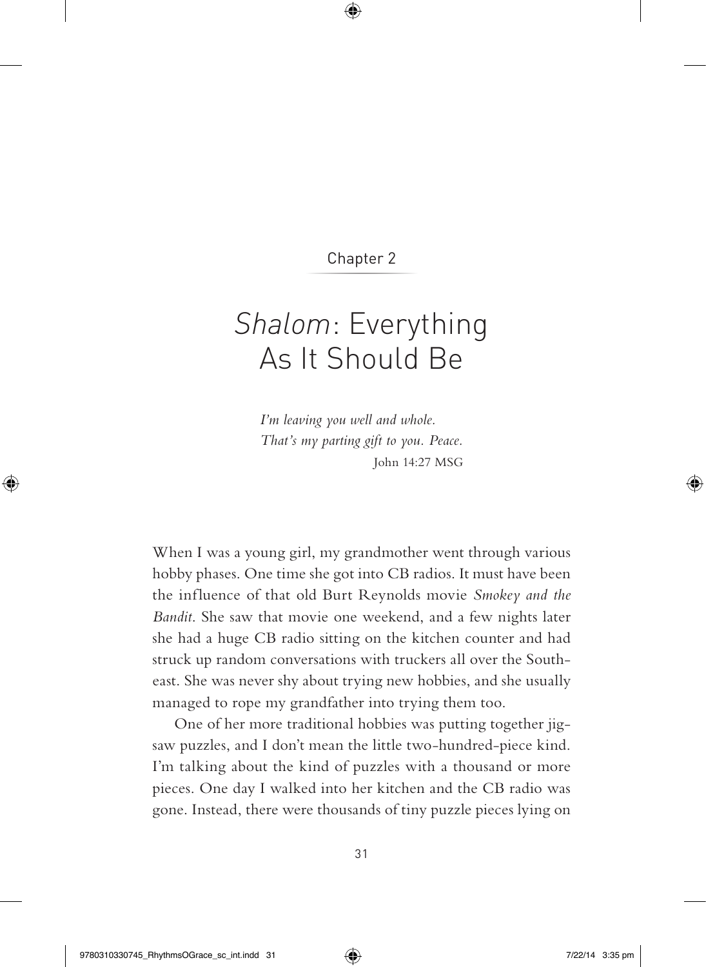Chapter 2

## *Shalom*: Everything As It Should Be

*I'm leaving you well and whole. That's my parting gift to you. Peace.* John 14:27 MSG

When I was a young girl, my grandmother went through various hobby phases. One time she got into CB radios. It must have been the influence of that old Burt Reynolds movie *Smokey and the Bandit*. She saw that movie one weekend, and a few nights later she had a huge CB radio sitting on the kitchen counter and had struck up random conversations with truckers all over the Southeast. She was never shy about trying new hobbies, and she usually managed to rope my grandfather into trying them too.

One of her more traditional hobbies was putting together jigsaw puzzles, and I don't mean the little two-hundred-piece kind. I'm talking about the kind of puzzles with a thousand or more pieces. One day I walked into her kitchen and the CB radio was gone. Instead, there were thousands of tiny puzzle pieces lying on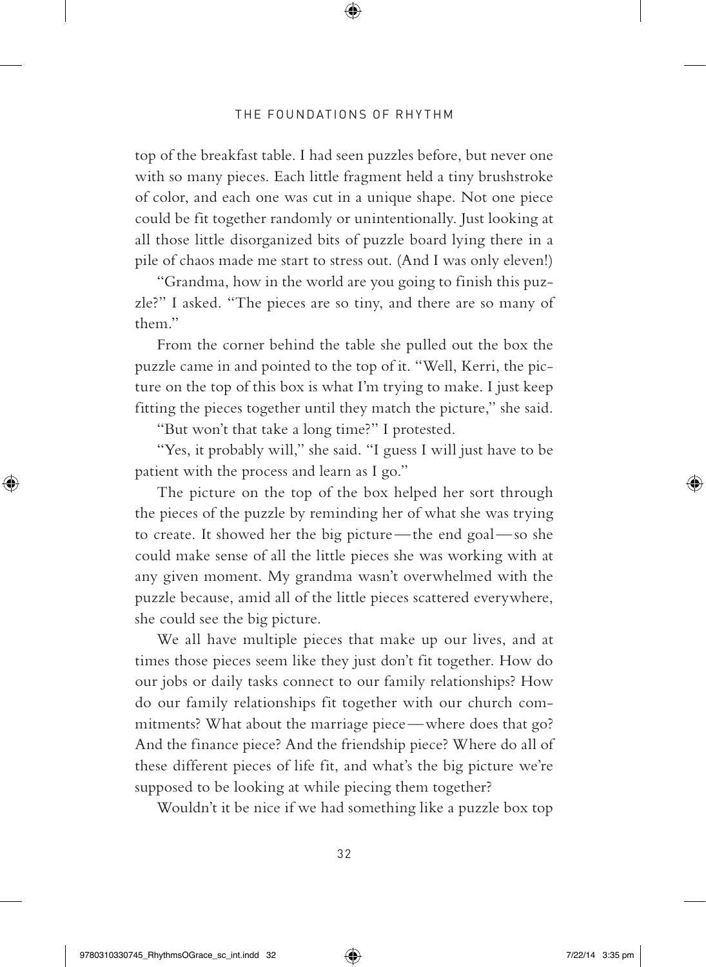top of the breakfast table. I had seen puzzles before, but never one with so many pieces. Each little fragment held a tiny brushstroke of color, and each one was cut in a unique shape. Not one piece could be fit together randomly or unintentionally. Just looking at all those little disorganized bits of puzzle board lying there in a pile of chaos made me start to stress out. (And I was only eleven!)

"Grandma, how in the world are you going to finish this puzzle?" I asked. "The pieces are so tiny, and there are so many of them."

From the corner behind the table she pulled out the box the puzzle came in and pointed to the top of it. "Well, Kerri, the picture on the top of this box is what I'm trying to make. I just keep fitting the pieces together until they match the picture," she said.

"But won't that take a long time?" I protested.

"Yes, it probably will," she said. "I guess I will just have to be patient with the process and learn as I go."

The picture on the top of the box helped her sort through the pieces of the puzzle by reminding her of what she was trying to create. It showed her the big picture — the end goal — so she could make sense of all the little pieces she was working with at any given moment. My grandma wasn't overwhelmed with the puzzle because, amid all of the little pieces scattered everywhere, she could see the big picture.

We all have multiple pieces that make up our lives, and at times those pieces seem like they just don't fit together. How do our jobs or daily tasks connect to our family relationships? How do our family relationships fit together with our church commitments? What about the marriage piece — where does that go? And the finance piece? And the friendship piece? Where do all of these different pieces of life fit, and what's the big picture we're supposed to be looking at while piecing them together?

Wouldn't it be nice if we had something like a puzzle box top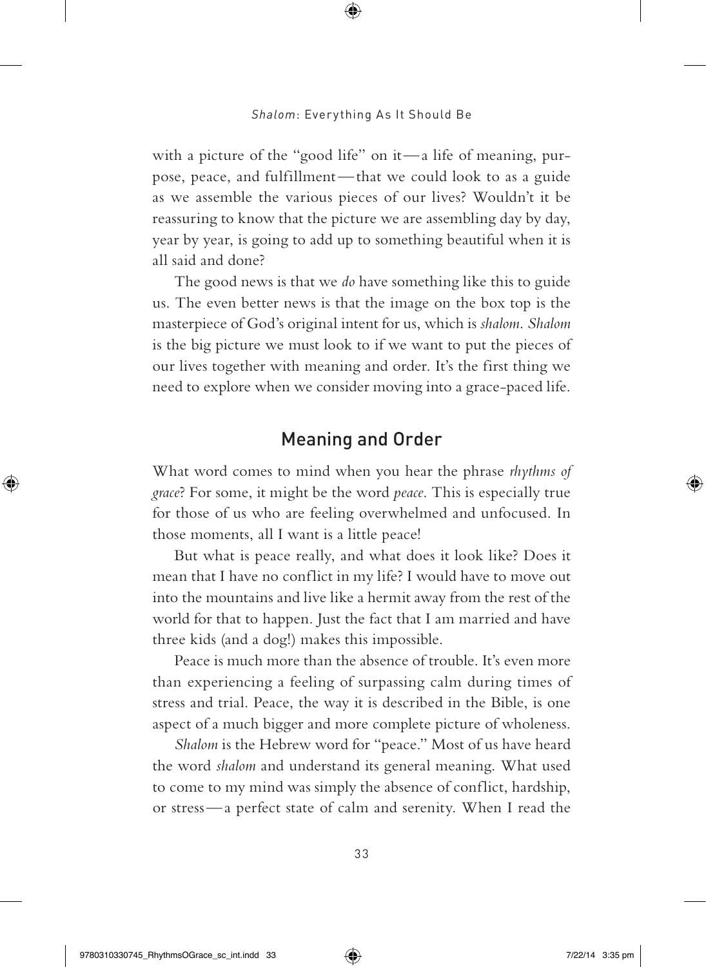with a picture of the "good life" on it — a life of meaning, purpose, peace, and fulfillment — that we could look to as a guide as we assemble the various pieces of our lives? Wouldn't it be reassuring to know that the picture we are assembling day by day, year by year, is going to add up to something beautiful when it is all said and done?

The good news is that we *do* have something like this to guide us. The even better news is that the image on the box top is the masterpiece of God's original intent for us, which is *shalom*. *Shalom* is the big picture we must look to if we want to put the pieces of our lives together with meaning and order. It's the first thing we need to explore when we consider moving into a grace-paced life.

### Meaning and Order

What word comes to mind when you hear the phrase *rhythms of grace*? For some, it might be the word *peace*. This is especially true for those of us who are feeling overwhelmed and unfocused. In those moments, all I want is a little peace!

But what is peace really, and what does it look like? Does it mean that I have no conflict in my life? I would have to move out into the mountains and live like a hermit away from the rest of the world for that to happen. Just the fact that I am married and have three kids (and a dog!) makes this impossible.

Peace is much more than the absence of trouble. It's even more than experiencing a feeling of surpassing calm during times of stress and trial. Peace, the way it is described in the Bible, is one aspect of a much bigger and more complete picture of wholeness.

*Shalom* is the Hebrew word for "peace." Most of us have heard the word *shalom* and understand its general meaning. What used to come to my mind was simply the absence of conflict, hardship, or stress — a perfect state of calm and serenity. When I read the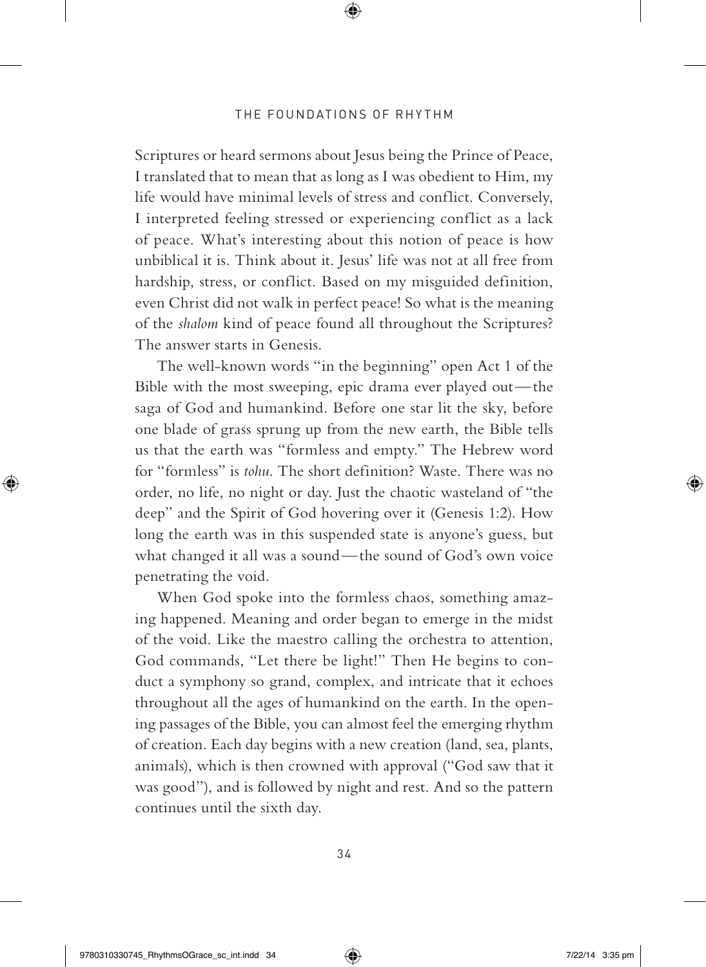Scriptures or heard sermons about Jesus being the Prince of Peace, I translated that to mean that as long as I was obedient to Him, my life would have minimal levels of stress and conflict. Conversely, I interpreted feeling stressed or experiencing conflict as a lack of peace. What's interesting about this notion of peace is how unbiblical it is. Think about it. Jesus' life was not at all free from hardship, stress, or conflict. Based on my misguided definition, even Christ did not walk in perfect peace! So what is the meaning of the *shalom* kind of peace found all throughout the Scriptures? The answer starts in Genesis.

The well-known words "in the beginning" open Act 1 of the Bible with the most sweeping, epic drama ever played out — the saga of God and humankind. Before one star lit the sky, before one blade of grass sprung up from the new earth, the Bible tells us that the earth was "formless and empty." The Hebrew word for "formless" is *tohu*. The short definition? Waste. There was no order, no life, no night or day. Just the chaotic wasteland of "the deep" and the Spirit of God hovering over it (Genesis 1:2). How long the earth was in this suspended state is anyone's guess, but what changed it all was a sound — the sound of God's own voice penetrating the void.

When God spoke into the formless chaos, something amazing happened. Meaning and order began to emerge in the midst of the void. Like the maestro calling the orchestra to attention, God commands, "Let there be light!" Then He begins to conduct a symphony so grand, complex, and intricate that it echoes throughout all the ages of humankind on the earth. In the opening passages of the Bible, you can almost feel the emerging rhythm of creation. Each day begins with a new creation (land, sea, plants, animals), which is then crowned with approval ("God saw that it was good"), and is followed by night and rest. And so the pattern continues until the sixth day.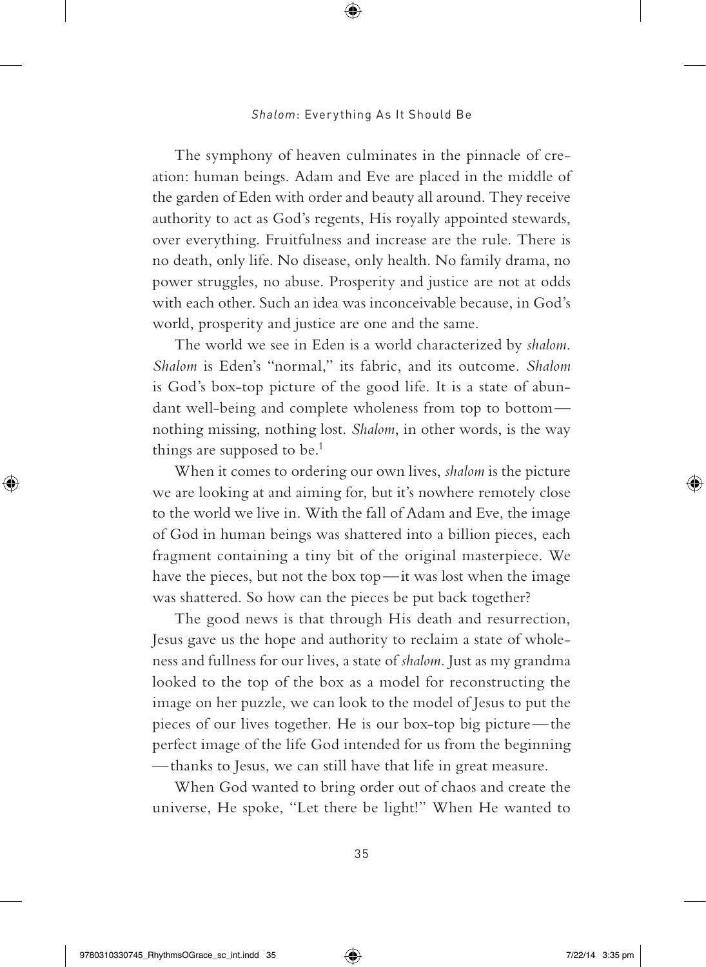The symphony of heaven culminates in the pinnacle of creation: human beings. Adam and Eve are placed in the middle of the garden of Eden with order and beauty all around. They receive authority to act as God's regents, His royally appointed stewards, over everything. Fruitfulness and increase are the rule. There is no death, only life. No disease, only health. No family drama, no power struggles, no abuse. Prosperity and justice are not at odds with each other. Such an idea was inconceivable because, in God's world, prosperity and justice are one and the same.

The world we see in Eden is a world characterized by *shalom*. *Shalom* is Eden's "normal," its fabric, and its outcome. *Shalom* is God's box-top picture of the good life. It is a state of abundant well-being and complete wholeness from top to bottom nothing missing, nothing lost. *Shalom*, in other words, is the way things are supposed to be.<sup>1</sup>

When it comes to ordering our own lives, *shalom* is the picture we are looking at and aiming for, but it's nowhere remotely close to the world we live in. With the fall of Adam and Eve, the image of God in human beings was shattered into a billion pieces, each fragment containing a tiny bit of the original masterpiece. We have the pieces, but not the box top — it was lost when the image was shattered. So how can the pieces be put back together?

The good news is that through His death and resurrection, Jesus gave us the hope and authority to reclaim a state of wholeness and fullness for our lives, a state of *shalom*. Just as my grandma looked to the top of the box as a model for reconstructing the image on her puzzle, we can look to the model of Jesus to put the pieces of our lives together. He is our box-top big picture — the perfect image of the life God intended for us from the beginning — thanks to Jesus, we can still have that life in great measure.

When God wanted to bring order out of chaos and create the universe, He spoke, "Let there be light!" When He wanted to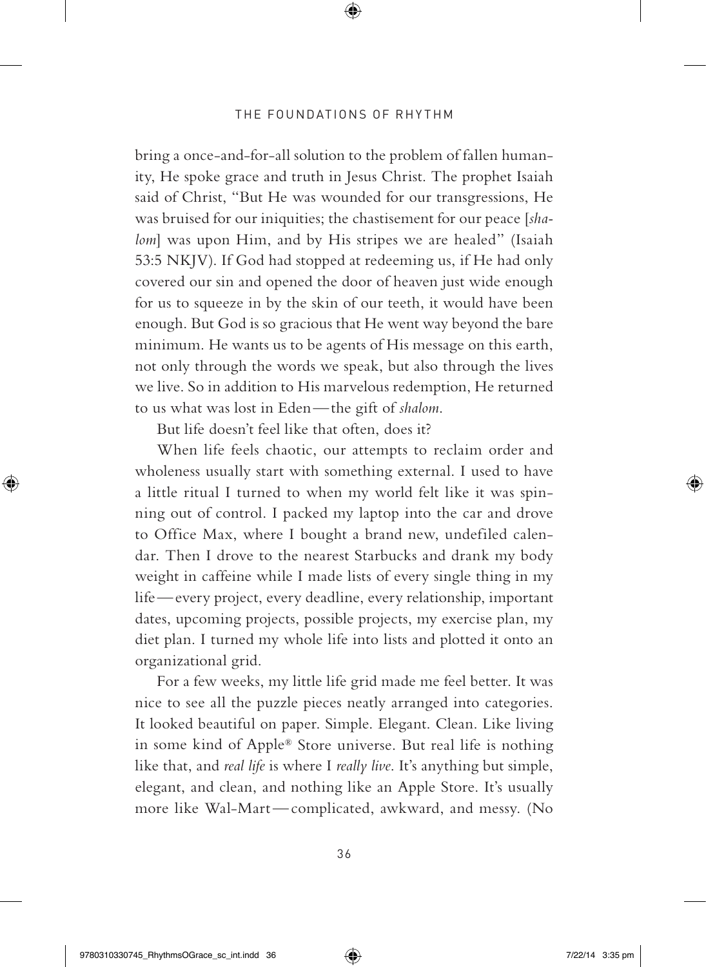bring a once-and-for-all solution to the problem of fallen humanity, He spoke grace and truth in Jesus Christ. The prophet Isaiah said of Christ, "But He was wounded for our transgressions, He was bruised for our iniquities; the chastisement for our peace [*shalom*] was upon Him, and by His stripes we are healed" (Isaiah 53:5 NKJV). If God had stopped at redeeming us, if He had only covered our sin and opened the door of heaven just wide enough for us to squeeze in by the skin of our teeth, it would have been enough. But God is so gracious that He went way beyond the bare minimum. He wants us to be agents of His message on this earth, not only through the words we speak, but also through the lives we live. So in addition to His marvelous redemption, He returned to us what was lost in Eden — the gift of *shalom*.

But life doesn't feel like that often, does it?

When life feels chaotic, our attempts to reclaim order and wholeness usually start with something external. I used to have a little ritual I turned to when my world felt like it was spinning out of control. I packed my laptop into the car and drove to Office Max, where I bought a brand new, undefiled calendar. Then I drove to the nearest Starbucks and drank my body weight in caffeine while I made lists of every single thing in my life — every project, every deadline, every relationship, important dates, upcoming projects, possible projects, my exercise plan, my diet plan. I turned my whole life into lists and plotted it onto an organizational grid.

For a few weeks, my little life grid made me feel better. It was nice to see all the puzzle pieces neatly arranged into categories. It looked beautiful on paper. Simple. Elegant. Clean. Like living in some kind of Apple® Store universe. But real life is nothing like that, and *real life* is where I *really live*. It's anything but simple, elegant, and clean, and nothing like an Apple Store. It's usually more like Wal-Mart — complicated, awkward, and messy. (No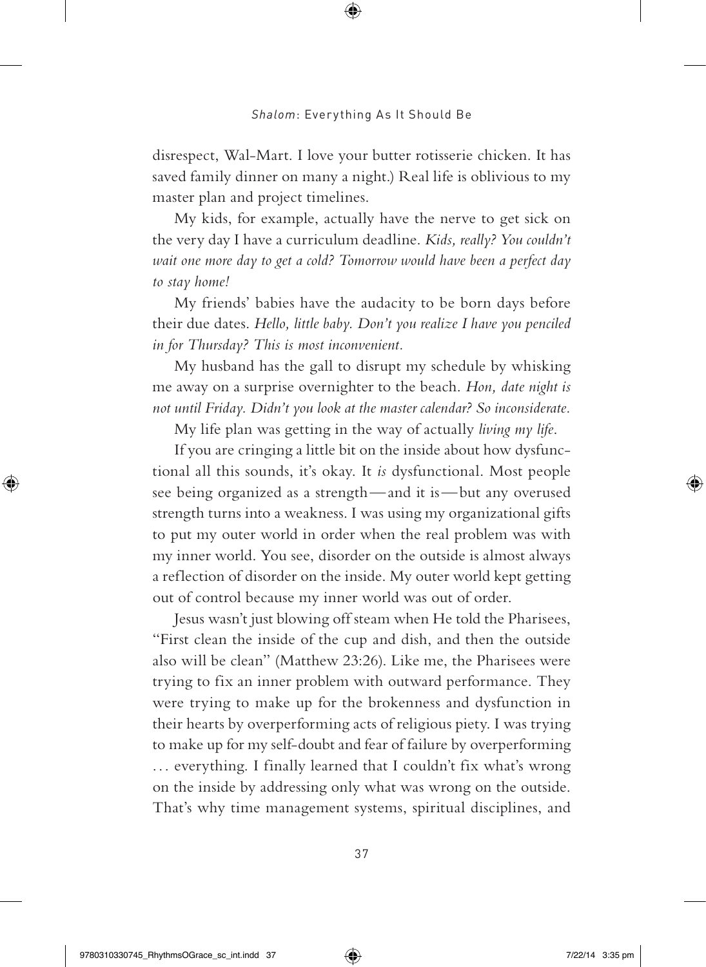disrespect, Wal-Mart. I love your butter rotisserie chicken. It has saved family dinner on many a night.) Real life is oblivious to my master plan and project timelines.

My kids, for example, actually have the nerve to get sick on the very day I have a curriculum deadline. *Kids, really? You couldn't wait one more day to get a cold? Tomorrow would have been a perfect day to stay home!*

My friends' babies have the audacity to be born days before their due dates. *Hello, little baby. Don't you realize I have you penciled in for Thursday? This is most inconvenient.*

My husband has the gall to disrupt my schedule by whisking me away on a surprise overnighter to the beach. *Hon, date night is not until Friday. Didn't you look at the master calendar? So inconsiderate.*

My life plan was getting in the way of actually *living my life*.

If you are cringing a little bit on the inside about how dysfunctional all this sounds, it's okay. It *is* dysfunctional. Most people see being organized as a strength — and it is — but any overused strength turns into a weakness. I was using my organizational gifts to put my outer world in order when the real problem was with my inner world. You see, disorder on the outside is almost always a reflection of disorder on the inside. My outer world kept getting out of control because my inner world was out of order.

Jesus wasn't just blowing off steam when He told the Pharisees, "First clean the inside of the cup and dish, and then the outside also will be clean" (Matthew 23:26). Like me, the Pharisees were trying to fix an inner problem with outward performance. They were trying to make up for the brokenness and dysfunction in their hearts by overperforming acts of religious piety. I was trying to make up for my self-doubt and fear of failure by overperforming ... everything. I finally learned that I couldn't fix what's wrong on the inside by addressing only what was wrong on the outside. That's why time management systems, spiritual disciplines, and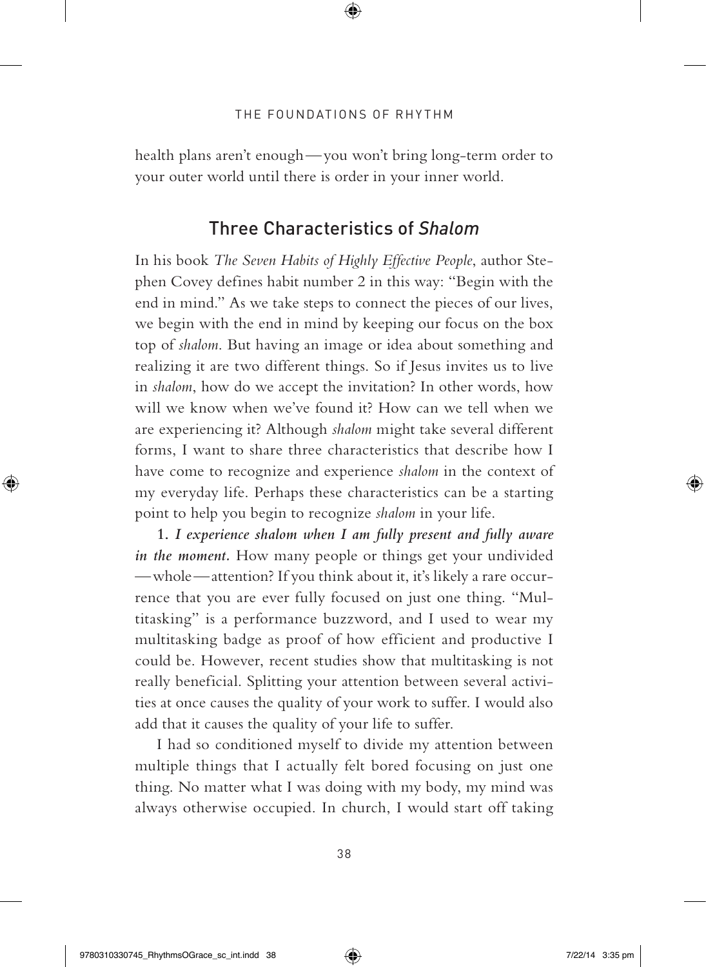health plans aren't enough — you won't bring long-term order to your outer world until there is order in your inner world.

### Three Characteristics of *Shalom*

In his book *The Seven Habits of Highly Effective People*, author Stephen Covey defines habit number 2 in this way: "Begin with the end in mind." As we take steps to connect the pieces of our lives, we begin with the end in mind by keeping our focus on the box top of *shalom*. But having an image or idea about something and realizing it are two different things. So if Jesus invites us to live in *shalom*, how do we accept the invitation? In other words, how will we know when we've found it? How can we tell when we are experiencing it? Although *shalom* might take several different forms, I want to share three characteristics that describe how I have come to recognize and experience *shalom* in the context of my everyday life. Perhaps these characteristics can be a starting point to help you begin to recognize *shalom* in your life.

**1.** *I experience shalom when I am fully present and fully aware in the moment.* How many people or things get your undivided — whole — attention? If you think about it, it's likely a rare occurrence that you are ever fully focused on just one thing. "Multitasking" is a performance buzzword, and I used to wear my multitasking badge as proof of how efficient and productive I could be. However, recent studies show that multitasking is not really beneficial. Splitting your attention between several activities at once causes the quality of your work to suffer. I would also add that it causes the quality of your life to suffer.

I had so conditioned myself to divide my attention between multiple things that I actually felt bored focusing on just one thing. No matter what I was doing with my body, my mind was always otherwise occupied. In church, I would start off taking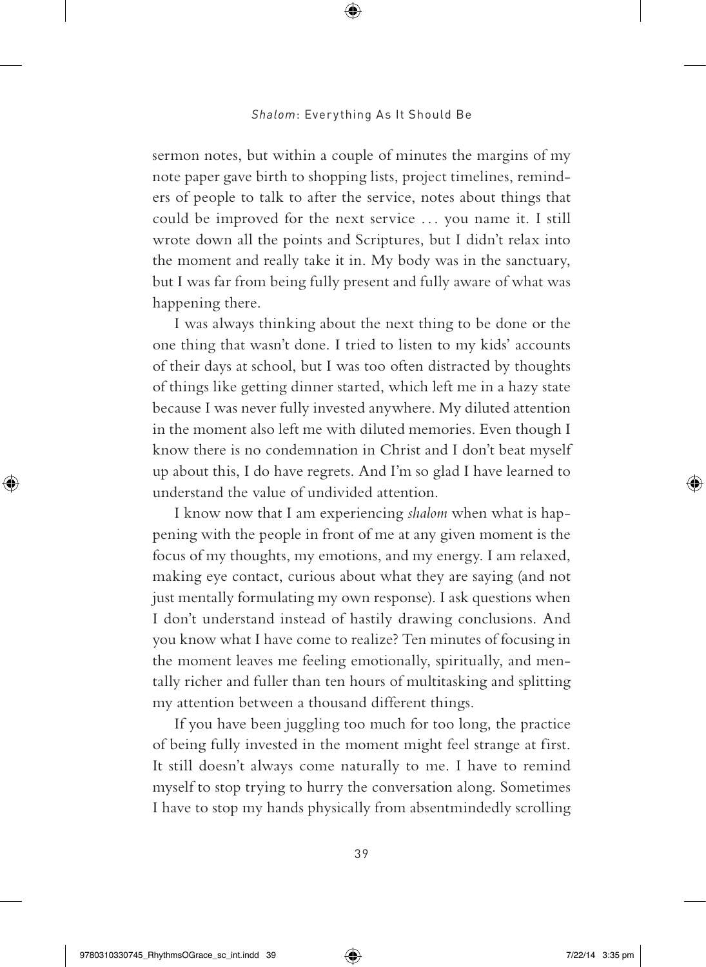sermon notes, but within a couple of minutes the margins of my note paper gave birth to shopping lists, project timelines, reminders of people to talk to after the service, notes about things that could be improved for the next service ... you name it. I still wrote down all the points and Scriptures, but I didn't relax into the moment and really take it in. My body was in the sanctuary, but I was far from being fully present and fully aware of what was happening there.

I was always thinking about the next thing to be done or the one thing that wasn't done. I tried to listen to my kids' accounts of their days at school, but I was too often distracted by thoughts of things like getting dinner started, which left me in a hazy state because I was never fully invested anywhere. My diluted attention in the moment also left me with diluted memories. Even though I know there is no condemnation in Christ and I don't beat myself up about this, I do have regrets. And I'm so glad I have learned to understand the value of undivided attention.

I know now that I am experiencing *shalom* when what is happening with the people in front of me at any given moment is the focus of my thoughts, my emotions, and my energy. I am relaxed, making eye contact, curious about what they are saying (and not just mentally formulating my own response). I ask questions when I don't understand instead of hastily drawing conclusions. And you know what I have come to realize? Ten minutes of focusing in the moment leaves me feeling emotionally, spiritually, and mentally richer and fuller than ten hours of multitasking and splitting my attention between a thousand different things.

If you have been juggling too much for too long, the practice of being fully invested in the moment might feel strange at first. It still doesn't always come naturally to me. I have to remind myself to stop trying to hurry the conversation along. Sometimes I have to stop my hands physically from absentmindedly scrolling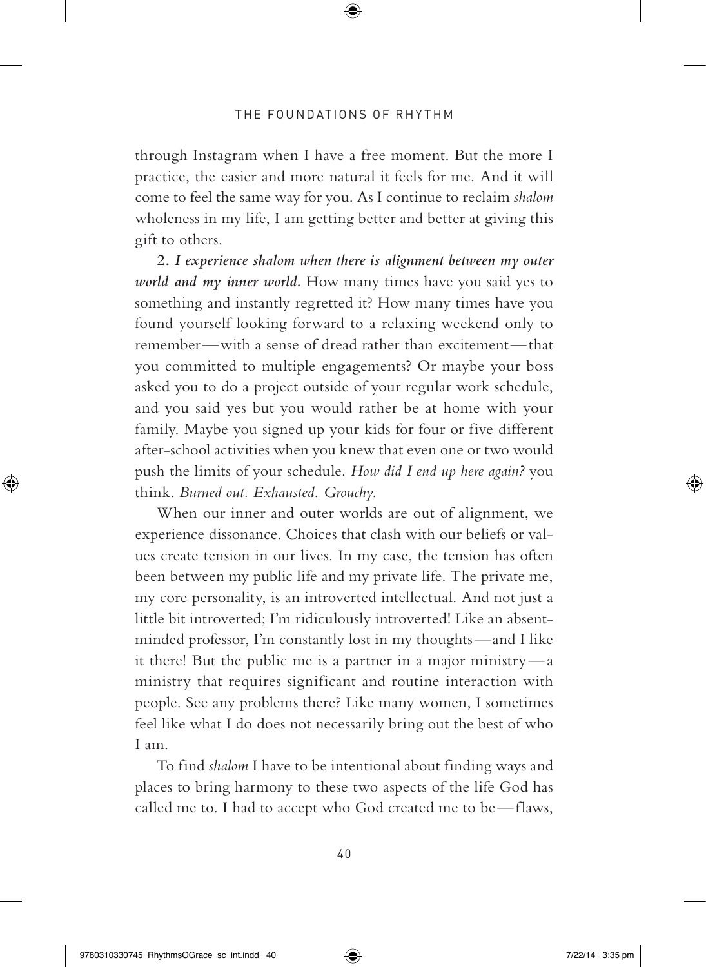through Instagram when I have a free moment. But the more I practice, the easier and more natural it feels for me. And it will come to feel the same way for you. As I continue to reclaim *shalom* wholeness in my life, I am getting better and better at giving this gift to others.

**2.** *I experience shalom when there is alignment between my outer world and my inner world.* How many times have you said yes to something and instantly regretted it? How many times have you found yourself looking forward to a relaxing weekend only to remember—with a sense of dread rather than excitement—that you committed to multiple engagements? Or maybe your boss asked you to do a project outside of your regular work schedule, and you said yes but you would rather be at home with your family. Maybe you signed up your kids for four or five different after-school activities when you knew that even one or two would push the limits of your schedule. *How did I end up here again?* you think. *Burned out. Exhausted. Grouchy.*

When our inner and outer worlds are out of alignment, we experience dissonance. Choices that clash with our beliefs or values create tension in our lives. In my case, the tension has often been between my public life and my private life. The private me, my core personality, is an introverted intellectual. And not just a little bit introverted; I'm ridiculously introverted! Like an absentminded professor, I'm constantly lost in my thoughts — and I like it there! But the public me is a partner in a major ministry  $-a$ ministry that requires significant and routine interaction with people. See any problems there? Like many women, I sometimes feel like what I do does not necessarily bring out the best of who I am.

To find *shalom* I have to be intentional about finding ways and places to bring harmony to these two aspects of the life God has called me to. I had to accept who God created me to be — flaws,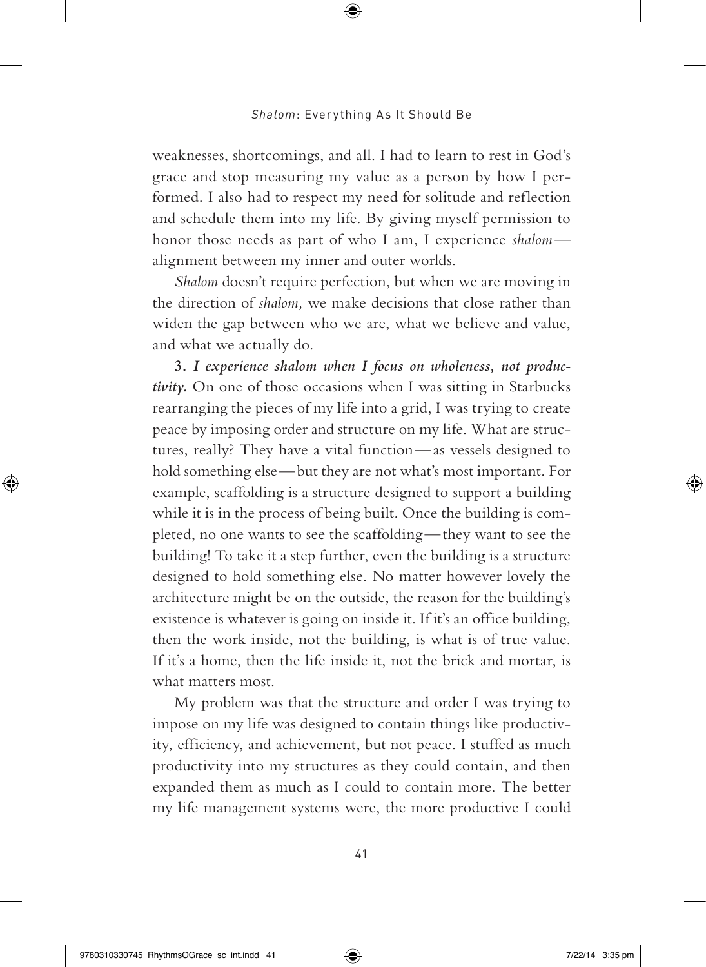weaknesses, shortcomings, and all. I had to learn to rest in God's grace and stop measuring my value as a person by how I performed. I also had to respect my need for solitude and reflection and schedule them into my life. By giving myself permission to honor those needs as part of who I am, I experience *shalom*alignment between my inner and outer worlds.

*Shalom* doesn't require perfection, but when we are moving in the direction of *shalom,* we make decisions that close rather than widen the gap between who we are, what we believe and value, and what we actually do.

**3.** *I experience shalom when I focus on wholeness, not productivity.* On one of those occasions when I was sitting in Starbucks rearranging the pieces of my life into a grid, I was trying to create peace by imposing order and structure on my life. What are structures, really? They have a vital function — as vessels designed to hold something else—but they are not what's most important. For example, scaffolding is a structure designed to support a building while it is in the process of being built. Once the building is completed, no one wants to see the scaffolding—they want to see the building! To take it a step further, even the building is a structure designed to hold something else. No matter however lovely the architecture might be on the outside, the reason for the building's existence is whatever is going on inside it. If it's an office building, then the work inside, not the building, is what is of true value. If it's a home, then the life inside it, not the brick and mortar, is what matters most.

My problem was that the structure and order I was trying to impose on my life was designed to contain things like productivity, efficiency, and achievement, but not peace. I stuffed as much productivity into my structures as they could contain, and then expanded them as much as I could to contain more. The better my life management systems were, the more productive I could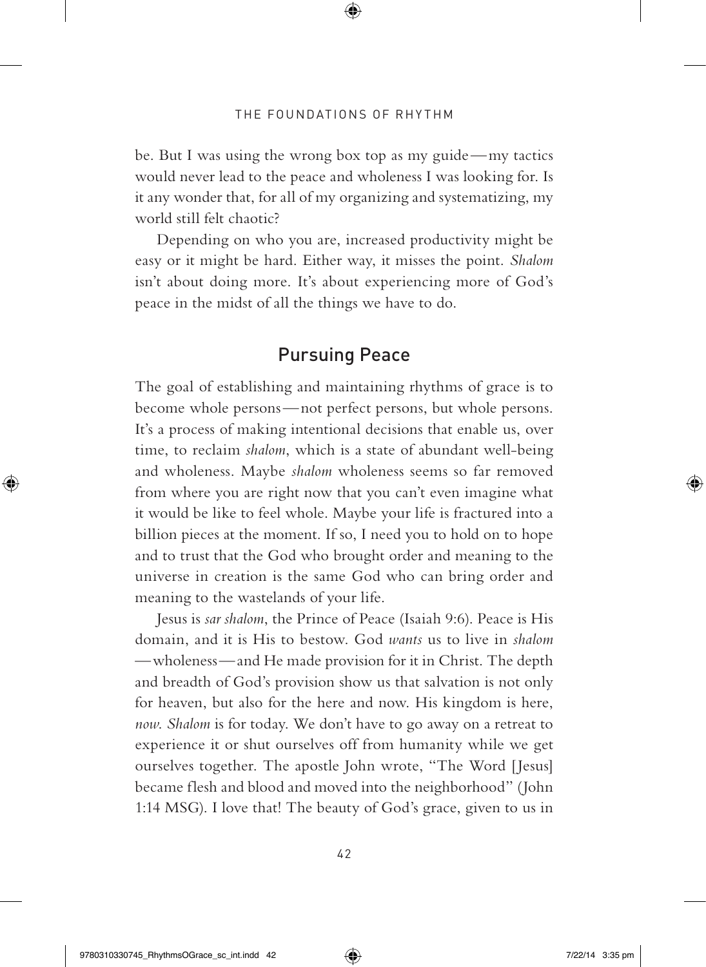be. But I was using the wrong box top as my guide — my tactics would never lead to the peace and wholeness I was looking for. Is it any wonder that, for all of my organizing and systematizing, my world still felt chaotic?

Depending on who you are, increased productivity might be easy or it might be hard. Either way, it misses the point. *Shalom* isn't about doing more. It's about experiencing more of God's peace in the midst of all the things we have to do.

### Pursuing Peace

The goal of establishing and maintaining rhythms of grace is to become whole persons — not perfect persons, but whole persons. It's a process of making intentional decisions that enable us, over time, to reclaim *shalom*, which is a state of abundant well-being and wholeness. Maybe *shalom* wholeness seems so far removed from where you are right now that you can't even imagine what it would be like to feel whole. Maybe your life is fractured into a billion pieces at the moment. If so, I need you to hold on to hope and to trust that the God who brought order and meaning to the universe in creation is the same God who can bring order and meaning to the wastelands of your life.

 Jesus is *sar shalom*, the Prince of Peace (Isaiah 9:6). Peace is His domain, and it is His to bestow. God *wants* us to live in *shalom* — wholeness — and He made provision for it in Christ. The depth and breadth of God's provision show us that salvation is not only for heaven, but also for the here and now. His kingdom is here, *now*. *Shalom* is for today. We don't have to go away on a retreat to experience it or shut ourselves off from humanity while we get ourselves together. The apostle John wrote, "The Word [ Jesus] became flesh and blood and moved into the neighborhood" (John 1:14 MSG). I love that! The beauty of God's grace, given to us in